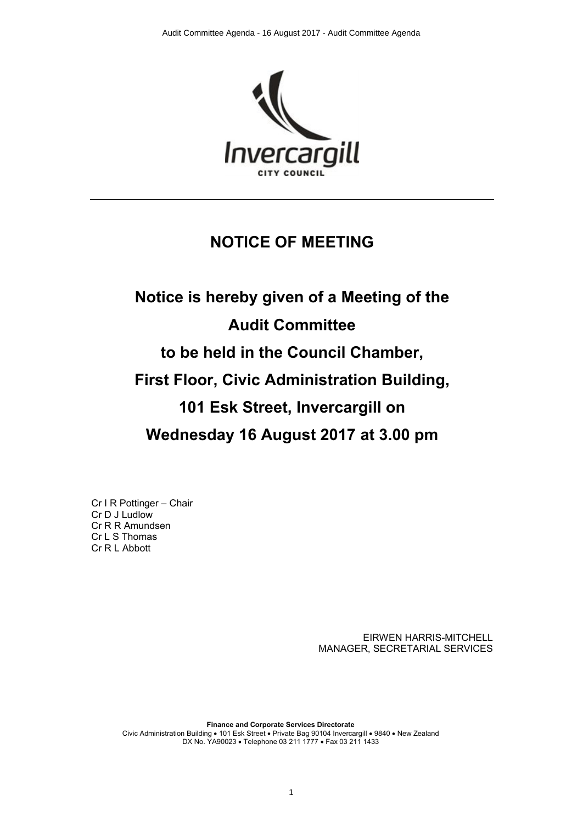

## **NOTICE OF MEETING**

# **Notice is hereby given of a Meeting of the Audit Committee to be held in the Council Chamber, First Floor, Civic Administration Building, 101 Esk Street, Invercargill on Wednesday 16 August 2017 at 3.00 pm**

Cr I R Pottinger – Chair Cr D J Ludlow Cr R R Amundsen Cr L S Thomas Cr R L Abbott

> EIRWEN HARRIS-MITCHELL MANAGER, SECRETARIAL SERVICES

**Finance and Corporate Services Directorate** Civic Administration Building • 101 Esk Street • Private Bag 90104 Invercargill • 9840 • New Zealand DX No. YA90023 • Telephone 03 211 1777 • Fax 03 211 1433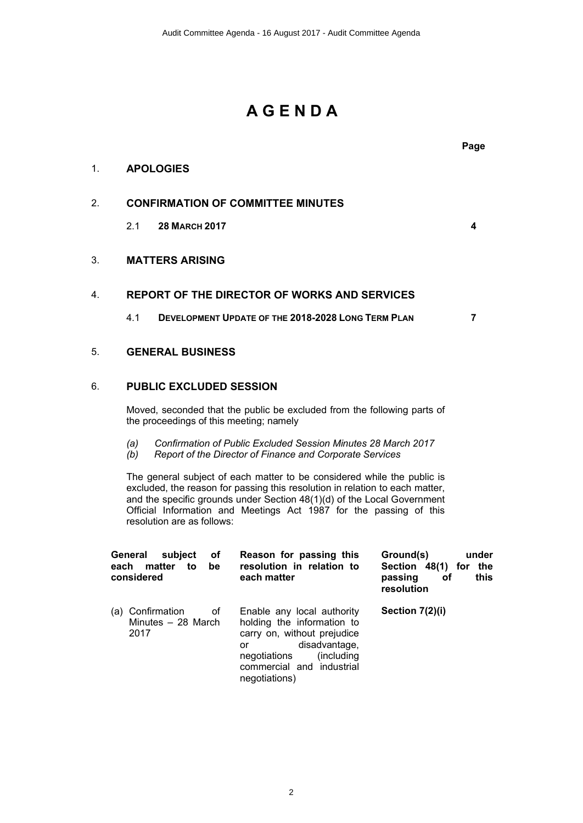## **A G E N D A**

#### 1. **APOLOGIES**

#### 2. **CONFIRMATION OF COMMITTEE MINUTES**

2.1 **28 MARCH 2017 4**

#### 3. **MATTERS ARISING**

### 4. **REPORT OF THE DIRECTOR OF WORKS AND SERVICES**

4.1 **DEVELOPMENT UPDATE OF THE 2018-2028 LONG TERM PLAN 7**

#### 5. **GENERAL BUSINESS**

#### 6. **PUBLIC EXCLUDED SESSION**

Moved, seconded that the public be excluded from the following parts of the proceedings of this meeting; namely

- *(a) Confirmation of Public Excluded Session Minutes 28 March 2017*
- *(b) Report of the Director of Finance and Corporate Services*

The general subject of each matter to be considered while the public is excluded, the reason for passing this resolution in relation to each matter, and the specific grounds under Section 48(1)(d) of the Local Government Official Information and Meetings Act 1987 for the passing of this resolution are as follows:

| General<br>subject<br>οf<br>each matter<br>be<br>to<br>considered | Reason for passing this<br>resolution in relation to<br>each matter                                                                                                                         | Ground(s)<br>under<br>Section 48(1) for<br>the<br>this<br>passing<br>οf<br>resolution |
|-------------------------------------------------------------------|---------------------------------------------------------------------------------------------------------------------------------------------------------------------------------------------|---------------------------------------------------------------------------------------|
| (a) Confirmation<br>οf<br>Minutes $-28$ March<br>2017             | Enable any local authority<br>holding the information to<br>carry on, without prejudice<br>disadvantage,<br>or<br>negotiations<br>(including)<br>commercial and industrial<br>negotiations) | Section 7(2)(i)                                                                       |

2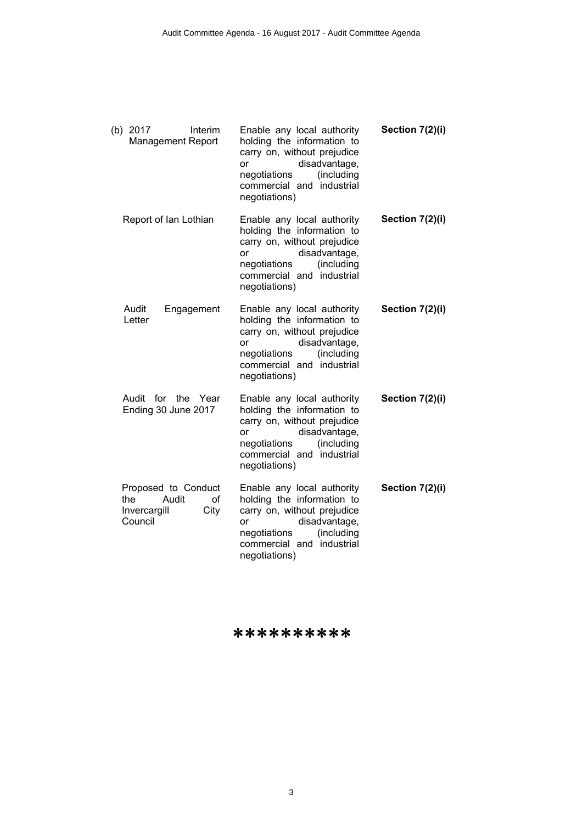| (b) 2017<br>Interim<br><b>Management Report</b>                              | Enable any local authority<br>holding the information to<br>carry on, without prejudice<br>disadvantage,<br>or<br>(including<br>negotiations<br>commercial and industrial<br>negotiations)        | Section 7(2)(i) |
|------------------------------------------------------------------------------|---------------------------------------------------------------------------------------------------------------------------------------------------------------------------------------------------|-----------------|
| Report of Ian Lothian                                                        | Enable any local authority<br>holding the information to<br>carry on, without prejudice<br>disadvantage,<br><b>or</b><br>(including<br>negotiations<br>commercial and industrial<br>negotiations) | Section 7(2)(i) |
| Audit<br>Engagement<br>Letter                                                | Enable any local authority<br>holding the information to<br>carry on, without prejudice<br>disadvantage,<br><b>or</b><br>(including<br>negotiations<br>commercial and industrial<br>negotiations) | Section 7(2)(i) |
| Audit for the Year<br>Ending 30 June 2017                                    | Enable any local authority<br>holding the information to<br>carry on, without prejudice<br>disadvantage,<br>or<br>negotiations<br>(including<br>commercial and industrial<br>negotiations)        | Section 7(2)(i) |
| Proposed to Conduct<br>the<br>Audit<br>of<br>City<br>Invercargill<br>Council | Enable any local authority<br>holding the information to<br>carry on, without prejudice<br>disadvantage,<br>or<br>(including<br>negotiations<br>commercial and industrial<br>negotiations)        | Section 7(2)(i) |

\*\*\*\*\*\*\*\*\*\*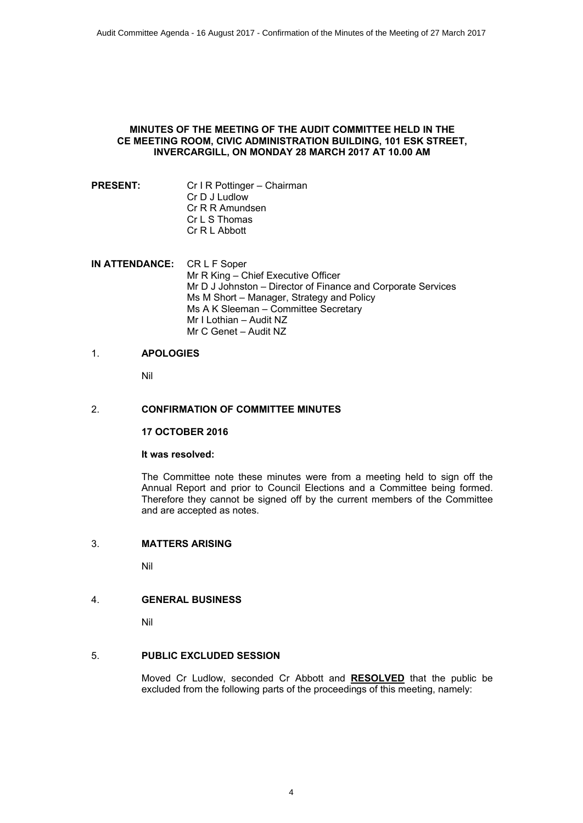#### **MINUTES OF THE MEETING OF THE AUDIT COMMITTEE HELD IN THE CE MEETING ROOM, CIVIC ADMINISTRATION BUILDING, 101 ESK STREET, INVERCARGILL, ON MONDAY 28 MARCH 2017 AT 10.00 AM**

- **PRESENT:** Cr I R Pottinger Chairman Cr D J Ludlow Cr R R Amundsen Cr L S Thomas Cr R L Abbott
- **IN ATTENDANCE:** CR L F Soper Mr R King – Chief Executive Officer Mr D J Johnston – Director of Finance and Corporate Services Ms M Short – Manager, Strategy and Policy Ms A K Sleeman – Committee Secretary Mr I Lothian – Audit NZ Mr C Genet – Audit NZ

#### 1. **APOLOGIES**

Nil

#### 2. **CONFIRMATION OF COMMITTEE MINUTES**

**17 OCTOBER 2016**

#### **It was resolved:**

The Committee note these minutes were from a meeting held to sign off the Annual Report and prior to Council Elections and a Committee being formed. Therefore they cannot be signed off by the current members of the Committee and are accepted as notes.

#### 3. **MATTERS ARISING**

Nil

#### 4. **GENERAL BUSINESS**

Nil

#### 5. **PUBLIC EXCLUDED SESSION**

Moved Cr Ludlow, seconded Cr Abbott and **RESOLVED** that the public be excluded from the following parts of the proceedings of this meeting, namely: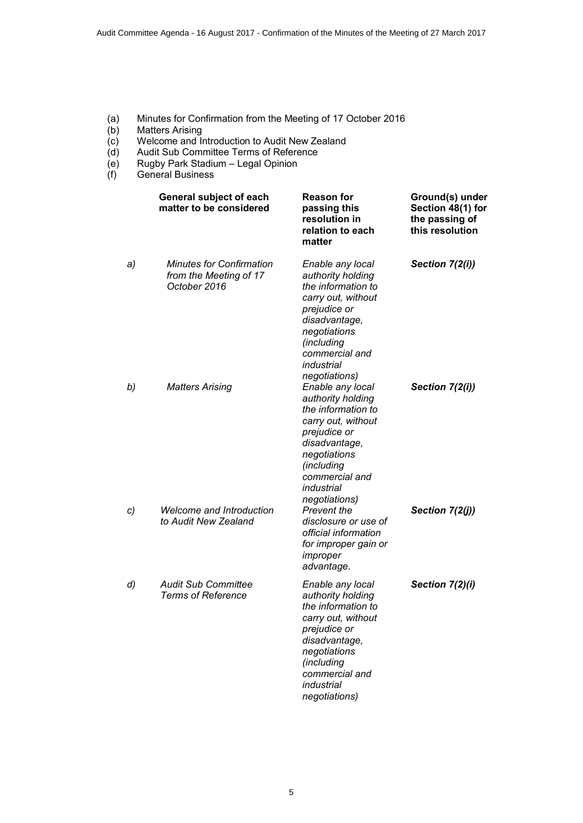- (a) Minutes for Confirmation from the Meeting of 17 October 2016
- (b) Matters Arising<br>(c) Welcome and li
- $\overrightarrow{c}$  Welcome and Introduction to Audit New Zealand (d) Audit Sub Committee Terms of Reference
- Audit Sub Committee Terms of Reference
- (e) Rugby Park Stadium Legal Opinion
- (f) General Business

|    | General subject of each<br>matter to be considered                        | <b>Reason for</b><br>passing this<br>resolution in<br>relation to each<br>matter                                                                                                                  | Ground(s) under<br>Section 48(1) for<br>the passing of<br>this resolution |
|----|---------------------------------------------------------------------------|---------------------------------------------------------------------------------------------------------------------------------------------------------------------------------------------------|---------------------------------------------------------------------------|
| a) | <b>Minutes for Confirmation</b><br>from the Meeting of 17<br>October 2016 | Enable any local<br>authority holding<br>the information to<br>carry out, without<br>prejudice or<br>disadvantage,<br>negotiations<br>(including<br>commercial and<br>industrial<br>negotiations) | Section 7(2(i))                                                           |
| b) | <b>Matters Arising</b>                                                    | Enable any local<br>authority holding<br>the information to<br>carry out, without<br>prejudice or<br>disadvantage,<br>negotiations<br>(including<br>commercial and<br>industrial<br>negotiations) | Section 7(2(i))                                                           |
| c) | <b>Welcome and Introduction</b><br>to Audit New Zealand                   | Prevent the<br>disclosure or use of<br>official information<br>for improper gain or<br>improper<br>advantage.                                                                                     | Section 7(2(j))                                                           |
| d) | <b>Audit Sub Committee</b><br><b>Terms of Reference</b>                   | Enable any local<br>authority holding<br>the information to<br>carry out, without<br>prejudice or<br>disadvantage,<br>negotiations<br>(including<br>commercial and<br>industrial<br>negotiations) | Section 7(2)(i)                                                           |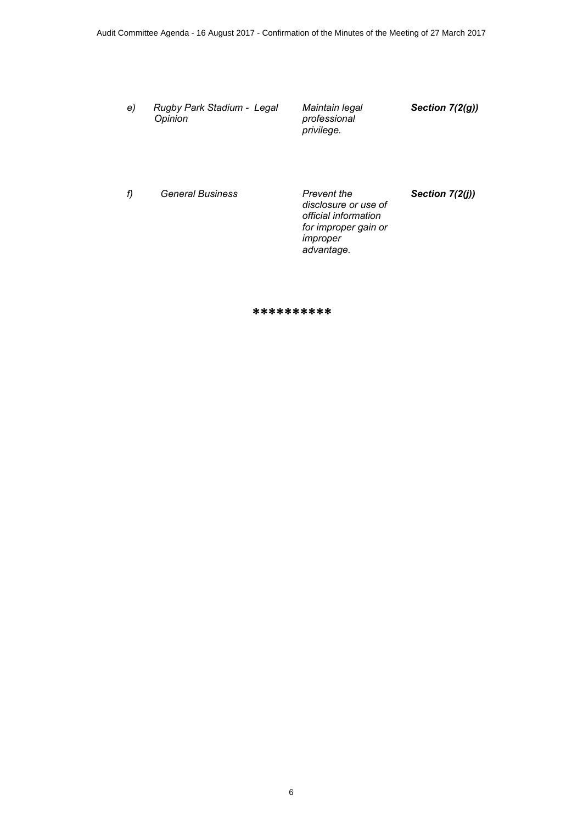*e) Rugby Park Stadium - Legal Opinion*

*Maintain legal professional privilege.*

*Section 7(2(g))*

*f) General Business Prevent the* 

*disclosure or use of official information for improper gain or improper advantage.*

*Section 7(2(j))*

\*\*\*\*\*\*\*\*\*\*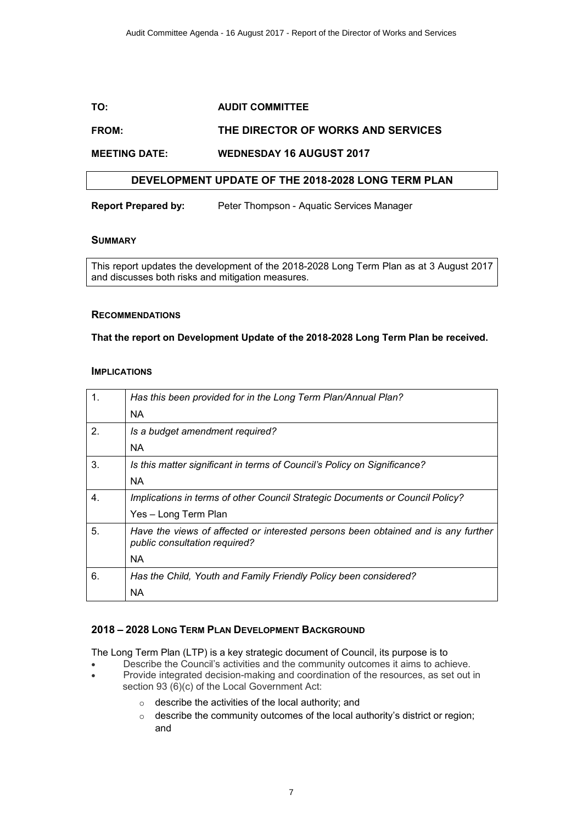#### **TO: AUDIT COMMITTEE**

#### **FROM: THE DIRECTOR OF WORKS AND SERVICES**

**MEETING DATE: WEDNESDAY 16 AUGUST 2017**

#### **DEVELOPMENT UPDATE OF THE 2018-2028 LONG TERM PLAN**

**Report Prepared by:** Peter Thompson - Aquatic Services Manager

#### **SUMMARY**

This report updates the development of the 2018-2028 Long Term Plan as at 3 August 2017 and discusses both risks and mitigation measures.

#### **RECOMMENDATIONS**

#### **That the report on Development Update of the 2018-2028 Long Term Plan be received.**

#### **IMPLICATIONS**

| 1.          | Has this been provided for in the Long Term Plan/Annual Plan?                                                      |
|-------------|--------------------------------------------------------------------------------------------------------------------|
|             | <b>NA</b>                                                                                                          |
| 2.          | Is a budget amendment required?                                                                                    |
|             | <b>NA</b>                                                                                                          |
| 3.          | Is this matter significant in terms of Council's Policy on Significance?                                           |
|             | <b>NA</b>                                                                                                          |
| $\mathbf 4$ | Implications in terms of other Council Strategic Documents or Council Policy?                                      |
|             | Yes - Long Term Plan                                                                                               |
| 5.          | Have the views of affected or interested persons been obtained and is any further<br>public consultation required? |
|             | NA.                                                                                                                |
| 6.          | Has the Child, Youth and Family Friendly Policy been considered?                                                   |
|             | <b>NA</b>                                                                                                          |

#### **2018 – 2028 LONG TERM PLAN DEVELOPMENT BACKGROUND**

The Long Term Plan (LTP) is a key strategic document of Council, its purpose is to

- ∑ Describe the Council's activities and the community outcomes it aims to achieve. ∑ Provide integrated decision-making and coordination of the resources, as set out in
- section 93 (6)(c) of the Local Government Act:
	- $\circ$  describe the activities of the local authority; and
	- o describe the community outcomes of the local authority's district or region; and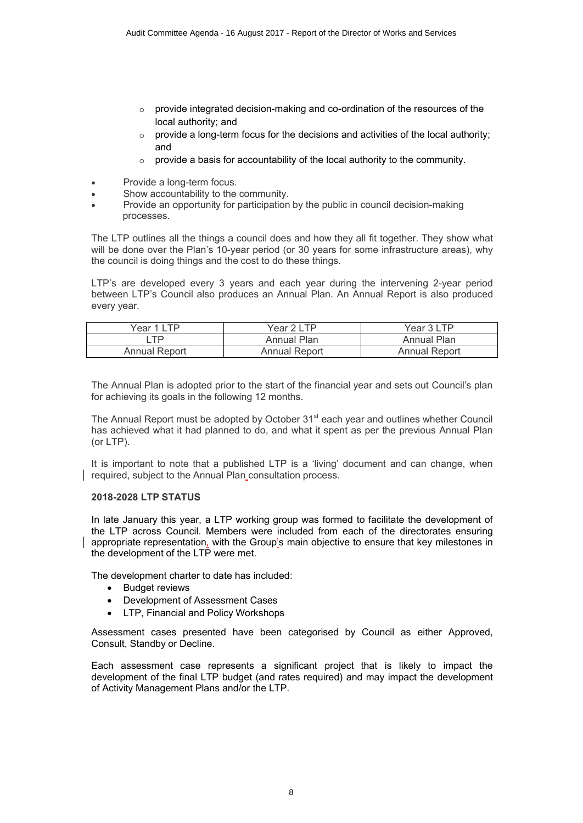- $\circ$  provide integrated decision-making and co-ordination of the resources of the local authority; and
- $\circ$  provide a long-term focus for the decisions and activities of the local authority; and
- $\circ$  provide a basis for accountability of the local authority to the community.
- Provide a long-term focus.
- Show accountability to the community.
- ∑ Provide an opportunity for participation by the public in council decision-making processes.

The LTP outlines all the things a council does and how they all fit together. They show what will be done over the Plan's 10-year period (or 30 years for some infrastructure areas), why the council is doing things and the cost to do these things.

LTP's are developed every 3 years and each year during the intervening 2-year period between LTP's Council also produces an Annual Plan. An Annual Report is also produced every year.

| Year 1 LTP -  | Year 2 LTP         | Year 3 LTP           |
|---------------|--------------------|----------------------|
| TP            | <b>Annual Plan</b> | <b>Annual Plan</b>   |
| Annual Report | Annual Report      | <b>Annual Report</b> |

The Annual Plan is adopted prior to the start of the financial year and sets out Council's plan for achieving its goals in the following 12 months.

The Annual Report must be adopted by October 31<sup>st</sup> each year and outlines whether Council has achieved what it had planned to do, and what it spent as per the previous Annual Plan (or LTP).

It is important to note that a published LTP is a 'living' document and can change, when required, subject to the Annual Plan consultation process.

#### **2018-2028 LTP STATUS**

In late January this year, a LTP working group was formed to facilitate the development of the LTP across Council. Members were included from each of the directorates ensuring appropriate representation, with the Group's main objective to ensure that key milestones in the development of the LTP were met.

The development charter to date has included:

- Budget reviews
- ∑ Development of Assessment Cases
- ∑ LTP, Financial and Policy Workshops

Assessment cases presented have been categorised by Council as either Approved, Consult, Standby or Decline.

Each assessment case represents a significant project that is likely to impact the development of the final LTP budget (and rates required) and may impact the development of Activity Management Plans and/or the LTP.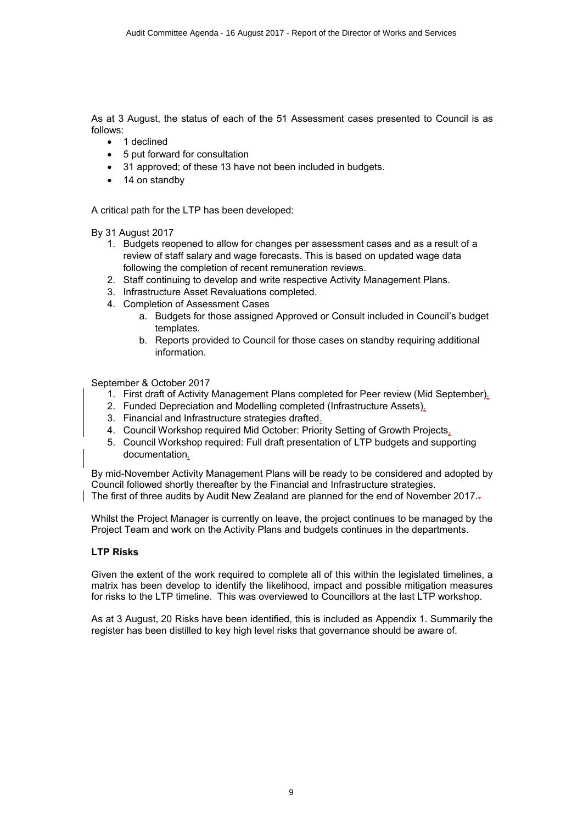As at 3 August, the status of each of the 51 Assessment cases presented to Council is as follows:

- 1 declined
- ∑ 5 put forward for consultation
- 31 approved; of these 13 have not been included in budgets.
- ∑ 14 on standby

A critical path for the LTP has been developed:

By 31 August 2017

- 1. Budgets reopened to allow for changes per assessment cases and as a result of a review of staff salary and wage forecasts. This is based on updated wage data following the completion of recent remuneration reviews.
- 2. Staff continuing to develop and write respective Activity Management Plans.
- 3. Infrastructure Asset Revaluations completed.
- 4. Completion of Assessment Cases
	- a. Budgets for those assigned Approved or Consult included in Council's budget templates.
	- b. Reports provided to Council for those cases on standby requiring additional information.

September & October 2017

- 1. First draft of Activity Management Plans completed for Peer review (Mid September).
- 2. Funded Depreciation and Modelling completed (Infrastructure Assets).
- 3. Financial and Infrastructure strategies drafted.
- 4. Council Workshop required Mid October: Priority Setting of Growth Projects.
- 5. Council Workshop required: Full draft presentation of LTP budgets and supporting documentation.

By mid-November Activity Management Plans will be ready to be considered and adopted by Council followed shortly thereafter by the Financial and Infrastructure strategies. The first of three audits by Audit New Zealand are planned for the end of November 2017.

Whilst the Project Manager is currently on leave, the project continues to be managed by the Project Team and work on the Activity Plans and budgets continues in the departments.

#### **LTP Risks**

Given the extent of the work required to complete all of this within the legislated timelines, a matrix has been develop to identify the likelihood, impact and possible mitigation measures for risks to the LTP timeline. This was overviewed to Councillors at the last LTP workshop.

As at 3 August, 20 Risks have been identified, this is included as Appendix 1. Summarily the register has been distilled to key high level risks that governance should be aware of.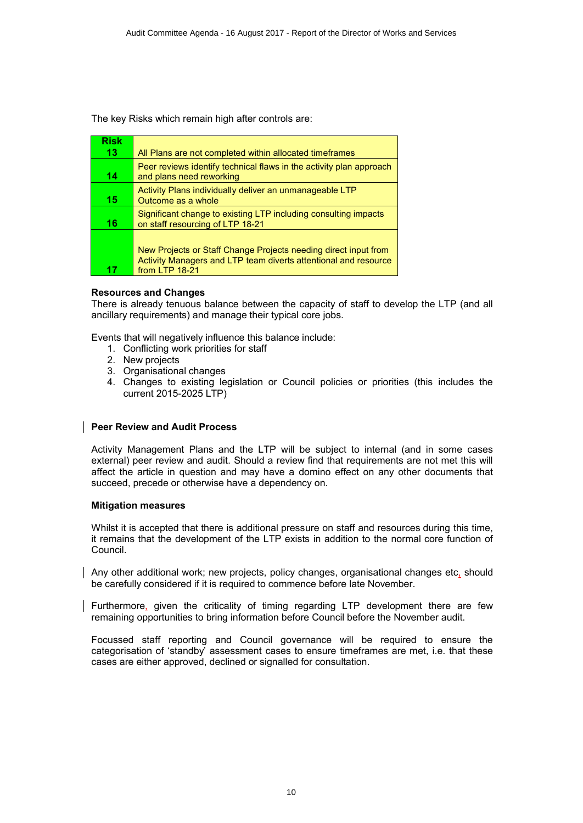The key Risks which remain high after controls are:

| <b>Risk</b> |                                                                                                                                                      |
|-------------|------------------------------------------------------------------------------------------------------------------------------------------------------|
| 13          | All Plans are not completed within allocated timeframes                                                                                              |
| 14          | Peer reviews identify technical flaws in the activity plan approach<br>and plans need reworking                                                      |
| 15          | Activity Plans individually deliver an unmanageable LTP<br>Outcome as a whole                                                                        |
| 16          | Significant change to existing LTP including consulting impacts<br>on staff resourcing of LTP 18-21                                                  |
| 17          | New Projects or Staff Change Projects needing direct input from<br>Activity Managers and LTP team diverts attentional and resource<br>from LTP 18-21 |

#### **Resources and Changes**

There is already tenuous balance between the capacity of staff to develop the LTP (and all ancillary requirements) and manage their typical core jobs.

Events that will negatively influence this balance include:

- 1. Conflicting work priorities for staff
- 2. New projects
- 3. Organisational changes
- 4. Changes to existing legislation or Council policies or priorities (this includes the current 2015-2025 LTP)

#### **Peer Review and Audit Process**

Activity Management Plans and the LTP will be subject to internal (and in some cases external) peer review and audit. Should a review find that requirements are not met this will affect the article in question and may have a domino effect on any other documents that succeed, precede or otherwise have a dependency on.

#### **Mitigation measures**

Whilst it is accepted that there is additional pressure on staff and resources during this time, it remains that the development of the LTP exists in addition to the normal core function of Council.

Any other additional work; new projects, policy changes, organisational changes etc, should be carefully considered if it is required to commence before late November.

Furthermore, given the criticality of timing regarding LTP development there are few remaining opportunities to bring information before Council before the November audit.

Focussed staff reporting and Council governance will be required to ensure the categorisation of 'standby' assessment cases to ensure timeframes are met, i.e. that these cases are either approved, declined or signalled for consultation.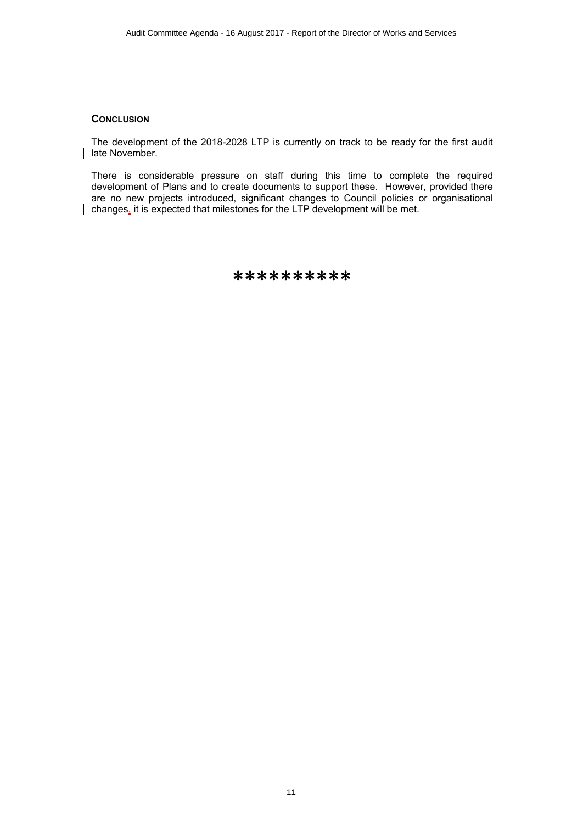#### **CONCLUSION**

The development of the 2018-2028 LTP is currently on track to be ready for the first audit late November.

There is considerable pressure on staff during this time to complete the required development of Plans and to create documents to support these. However, provided there are no new projects introduced, significant changes to Council policies or organisational changes, it is expected that milestones for the LTP development will be met.

\*\*\*\*\*\*\*\*\*\*